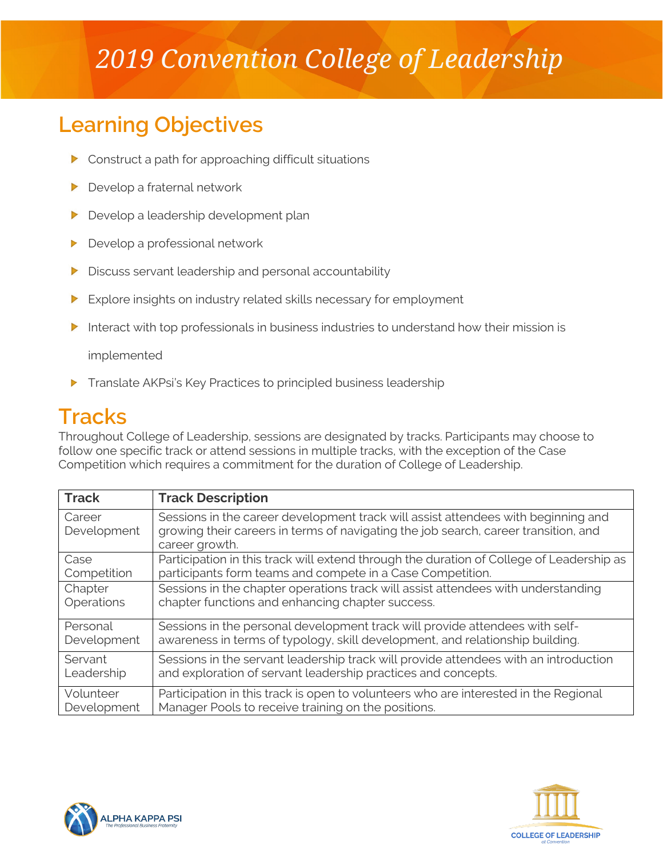# *2019 Convention College of Leadership*

# **Learning Objectives**

- $\triangleright$  Construct a path for approaching difficult situations
- Develop a fraternal network
- $\blacktriangleright$ Develop a leadership development plan
- Develop a professional network  $\blacktriangleright$
- ▶ Discuss servant leadership and personal accountability
- $\blacktriangleright$ Explore insights on industry related skills necessary for employment
- Interact with top professionals in business industries to understand how their mission is

implemented

Translate AKPsi's Key Practices to principled business leadership

## **Tracks**

Throughout College of Leadership, sessions are designated by tracks. Participants may choose to follow one specific track or attend sessions in multiple tracks, with the exception of the Case Competition which requires a commitment for the duration of College of Leadership.

| <b>Track</b>          | <b>Track Description</b>                                                                                                                                                                   |
|-----------------------|--------------------------------------------------------------------------------------------------------------------------------------------------------------------------------------------|
| Career<br>Development | Sessions in the career development track will assist attendees with beginning and<br>growing their careers in terms of navigating the job search, career transition, and<br>career growth. |
| Case                  | Participation in this track will extend through the duration of College of Leadership as                                                                                                   |
| Competition           | participants form teams and compete in a Case Competition.                                                                                                                                 |
| Chapter               | Sessions in the chapter operations track will assist attendees with understanding                                                                                                          |
| Operations            | chapter functions and enhancing chapter success.                                                                                                                                           |
| Personal              | Sessions in the personal development track will provide attendees with self-                                                                                                               |
| Development           | awareness in terms of typology, skill development, and relationship building.                                                                                                              |
| Servant               | Sessions in the servant leadership track will provide attendees with an introduction                                                                                                       |
| Leadership            | and exploration of servant leadership practices and concepts.                                                                                                                              |
| Volunteer             | Participation in this track is open to volunteers who are interested in the Regional                                                                                                       |
| Development           | Manager Pools to receive training on the positions.                                                                                                                                        |



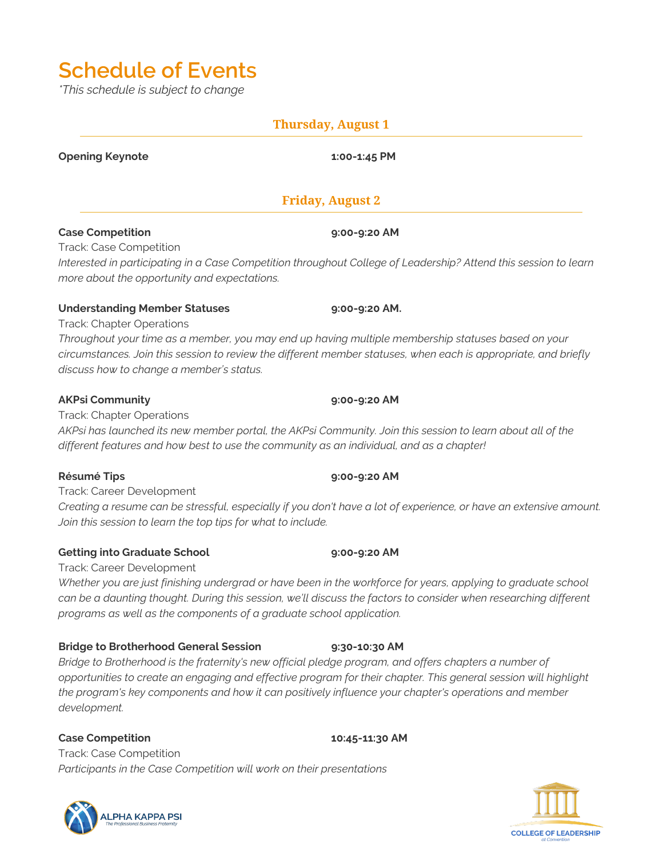# **Schedule of Events**

*\*This schedule is subject to change*

### **Thursday, August 1**

**Opening Keynote 1:00-1:45 PM**

### **Friday, August 2**

### **Case Competition 9:00-9:20 AM**

Track: Case Competition *Interested in participating in a Case Competition throughout College of Leadership? Attend this session to learn more about the opportunity and expectations.*

### **Understanding Member Statuses 9:00-9:20 AM.**

Track: Chapter Operations

*Throughout your time as a member, you may end up having multiple membership statuses based on your circumstances. Join this session to review the different member statuses, when each is appropriate, and briefly discuss how to change a member's status.*

### **AKPsi Community 9:00-9:20 AM**

Track: Chapter Operations

*AKPsi has launched its new member portal, the AKPsi Community. Join this session to learn about all of the different features and how best to use the community as an individual, and as a chapter!*

### **Résumé Tips 9:00-9:20 AM**

Track: Career Development

*Creating a resume can be stressful, especially if you don't have a lot of experience, or have an extensive amount. Join this session to learn the top tips for what to include.*

### **Getting into Graduate School 9:00-9:20 AM**

### Track: Career Development

*Whether you are just finishing undergrad or have been in the workforce for years, applying to graduate school*  can be a daunting thought. During this session, we'll discuss the factors to consider when researching different *programs as well as the components of a graduate school application.*

### **Bridge to Brotherhood General Session 9:30-10:30 AM**

*Bridge to Brotherhood is the fraternity's new official pledge program, and offers chapters a number of opportunities to create an engaging and effective program for their chapter. This general session will highlight the program's key components and how it can positively influence your chapter's operations and member development.*

### **Case Competition 10:45-11:30 AM**

Track: Case Competition *Participants in the Case Competition will work on their presentations*



# **COLLEGE OF LEADERSHIP**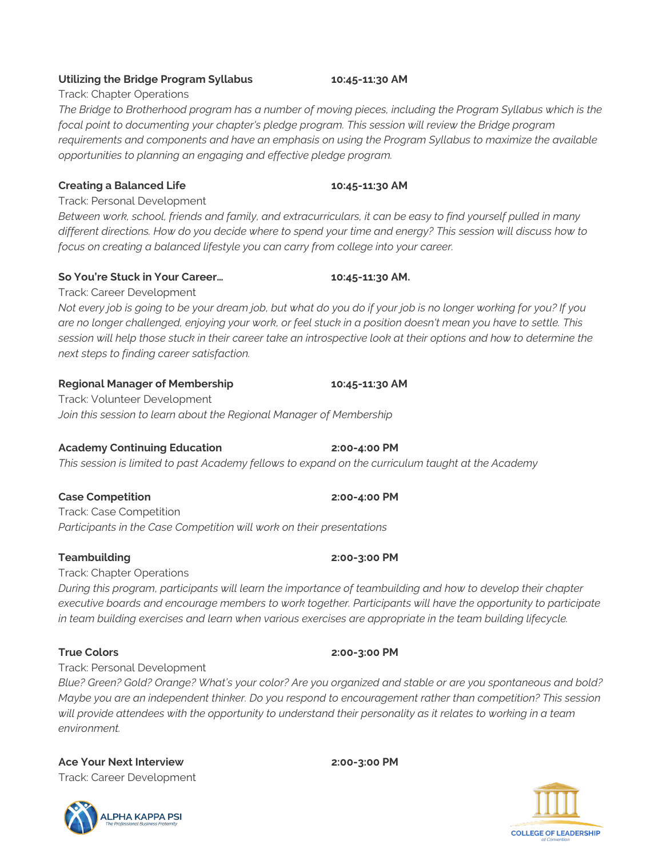### **Utilizing the Bridge Program Syllabus 10:45-11:30 AM**

Track: Chapter Operations

*The Bridge to Brotherhood program has a number of moving pieces, including the Program Syllabus which is the focal point to documenting your chapter's pledge program. This session will review the Bridge program requirements and components and have an emphasis on using the Program Syllabus to maximize the available opportunities to planning an engaging and effective pledge program.* 

### **Creating a Balanced Life 10:45-11:30 AM**

Track: Personal Development

*Between work, school, friends and family, and extracurriculars, it can be easy to find yourself pulled in many different directions. How do you decide where to spend your time and energy? This session will discuss how to focus on creating a balanced lifestyle you can carry from college into your career.*

### **So You're Stuck in Your Career… 10:45-11:30 AM.**

Track: Career Development *Not every job is going to be your dream job, but what do you do if your job is no longer working for you? If you are no longer challenged, enjoying your work, or feel stuck in a position doesn't mean you have to settle. This session will help those stuck in their career take an introspective look at their options and how to determine the next steps to finding career satisfaction.*

### **Regional Manager of Membership 10:45-11:30 AM**

Track: Volunteer Development *Join this session to learn about the Regional Manager of Membership*

### **Academy Continuing Education 2:00-4:00 PM**

*This session is limited to past Academy fellows to expand on the curriculum taught at the Academy*

### **Case Competition 2:00-4:00 PM**

Track: Case Competition *Participants in the Case Competition will work on their presentations*

### **Teambuilding 2:00-3:00 PM**

Track: Chapter Operations

*During this program, participants will learn the importance of teambuilding and how to develop their chapter executive boards and encourage members to work together. Participants will have the opportunity to participate in team building exercises and learn when various exercises are appropriate in the team building lifecycle.*

### **True Colors 2:00-3:00 PM**

Track: Personal Development

*Blue? Green? Gold? Orange? What's your color? Are you organized and stable or are you spontaneous and bold? Maybe you are an independent thinker. Do you respond to encouragement rather than competition? This session will provide attendees with the opportunity to understand their personality as it relates to working in a team environment.*

## **Ace Your Next Interview 2:00-3:00 PM**

Track: Career Development



# **COLLEGE OF LEADERSHIP**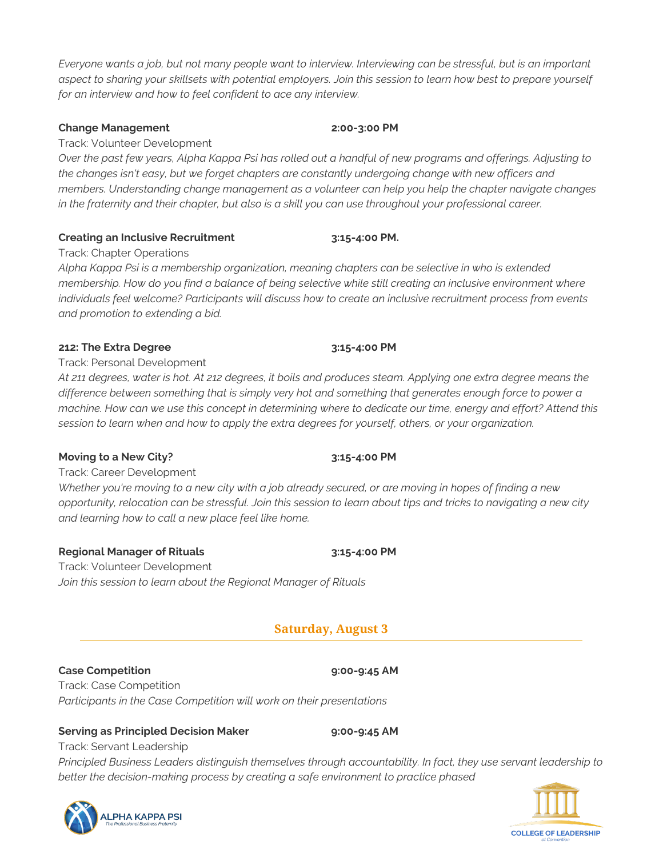*Everyone wants a job, but not many people want to interview. Interviewing can be stressful, but is an important aspect to sharing your skillsets with potential employers. Join this session to learn how best to prepare yourself for an interview and how to feel confident to ace any interview.*

### **Change Management 2:00-3:00 PM**

Track: Volunteer Development

*Over the past few years, Alpha Kappa Psi has rolled out a handful of new programs and offerings. Adjusting to the changes isn't easy, but we forget chapters are constantly undergoing change with new officers and members. Understanding change management as a volunteer can help you help the chapter navigate changes in the fraternity and their chapter, but also is a skill you can use throughout your professional career.*

### **Creating an Inclusive Recruitment 3:15-4:00 PM.**

Track: Chapter Operations

*Alpha Kappa Psi is a membership organization, meaning chapters can be selective in who is extended membership. How do you find a balance of being selective while still creating an inclusive environment where individuals feel welcome? Participants will discuss how to create an inclusive recruitment process from events and promotion to extending a bid.*

### **212: The Extra Degree 3:15-4:00 PM**

Track: Personal Development

*At 211 degrees, water is hot. At 212 degrees, it boils and produces steam. Applying one extra degree means the difference between something that is simply very hot and something that generates enough force to power a machine. How can we use this concept in determining where to dedicate our time, energy and effort? Attend this session to learn when and how to apply the extra degrees for yourself, others, or your organization.*

### **Moving to a New City? 3:15-4:00 PM**

Track: Career Development *Whether you're moving to a new city with a job already secured, or are moving in hopes of finding a new opportunity, relocation can be stressful. Join this session to learn about tips and tricks to navigating a new city* 

### **Regional Manager of Rituals 3:15-4:00 PM**

Track: Volunteer Development *Join this session to learn about the Regional Manager of Rituals*

*and learning how to call a new place feel like home.* 

### **Saturday, August 3**

### **Case Competition 9:00-9:45 AM**

Track: Case Competition *Participants in the Case Competition will work on their presentations*

### **Serving as Principled Decision Maker 9:00-9:45 AM**

Track: Servant Leadership

*Principled Business Leaders distinguish themselves through accountability. In fact, they use servant leadership to better the decision-making process by creating a safe environment to practice phased* 



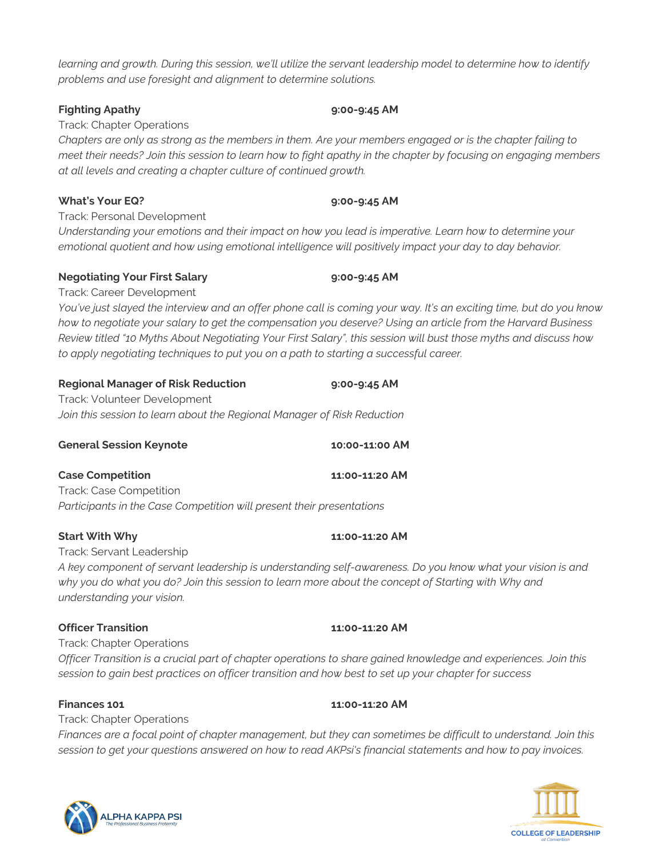LPHA KAPPA PSI

*learning and growth. During this session, we'll utilize the servant leadership model to determine how to identify problems and use foresight and alignment to determine solutions.*

### **Fighting Apathy 9:00-9:45 AM**

Track: Chapter Operations

*Chapters are only as strong as the members in them. Are your members engaged or is the chapter failing to meet their needs? Join this session to learn how to fight apathy in the chapter by focusing on engaging members at all levels and creating a chapter culture of continued growth.*

### **What's Your EQ? 9:00-9:45 AM**

Track: Personal Development

*Understanding your emotions and their impact on how you lead is imperative. Learn how to determine your emotional quotient and how using emotional intelligence will positively impact your day to day behavior.*

### **Negotiating Your First Salary 9:00-9:45 AM**

Track: Career Development

*You've just slayed the interview and an offer phone call is coming your way. It's an exciting time, but do you know how to negotiate your salary to get the compensation you deserve? Using an article from the Harvard Business Review titled "10 Myths About Negotiating Your First Salary", this session will bust those myths and discuss how to apply negotiating techniques to put you on a path to starting a successful career.*

| <b>Regional Manager of Risk Reduction</b>                               | $9:00 - 9:45$ AM |
|-------------------------------------------------------------------------|------------------|
| Track: Volunteer Development                                            |                  |
| Join this session to learn about the Regional Manager of Risk Reduction |                  |

| <b>Case Competition</b>                                               | 11:00-11:20 AM |
|-----------------------------------------------------------------------|----------------|
| Track: Case Competition                                               |                |
| Participants in the Case Competition will present their presentations |                |

### **Start With Why 11:00-11:20 AM**

Track: Servant Leadership

*A key component of servant leadership is understanding self-awareness. Do you know what your vision is and why you do what you do? Join this session to learn more about the concept of Starting with Why and understanding your vision.*

### **Officer Transition 11:00-11:20 AM**

Track: Chapter Operations *Officer Transition is a crucial part of chapter operations to share gained knowledge and experiences. Join this session to gain best practices on officer transition and how best to set up your chapter for success*

### **Finances 101 11:00-11:20 AM**

Track: Chapter Operations *Finances are a focal point of chapter management, but they can sometimes be difficult to understand. Join this session to get your questions answered on how to read AKPsi's financial statements and how to pay invoices.*



**General Session Keynote 10:00-11:00 AM**